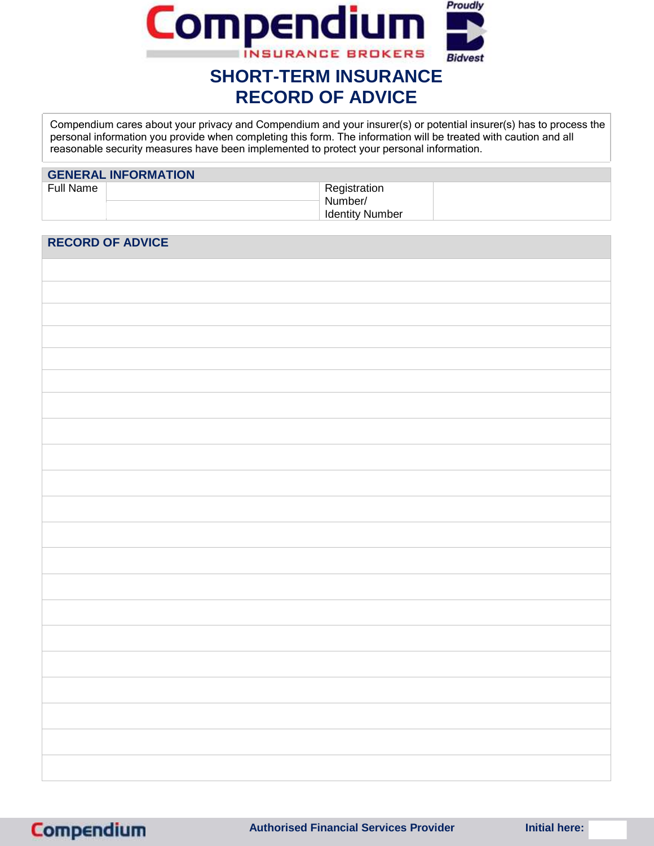

# **RECORD OF ADVICE**

Compendium cares about your privacy and Compendium and your insurer(s) or potential insurer(s) has to process the personal information you provide when completing this form. The information will be treated with caution and all reasonable security measures have been implemented to protect your personal information.

| <b>GENERAL INFORMATION</b> |                                                   |  |  |  |
|----------------------------|---------------------------------------------------|--|--|--|
| Full Name                  | Registration<br>Number/<br><b>Identity Number</b> |  |  |  |

# **RECORD OF ADVICE**

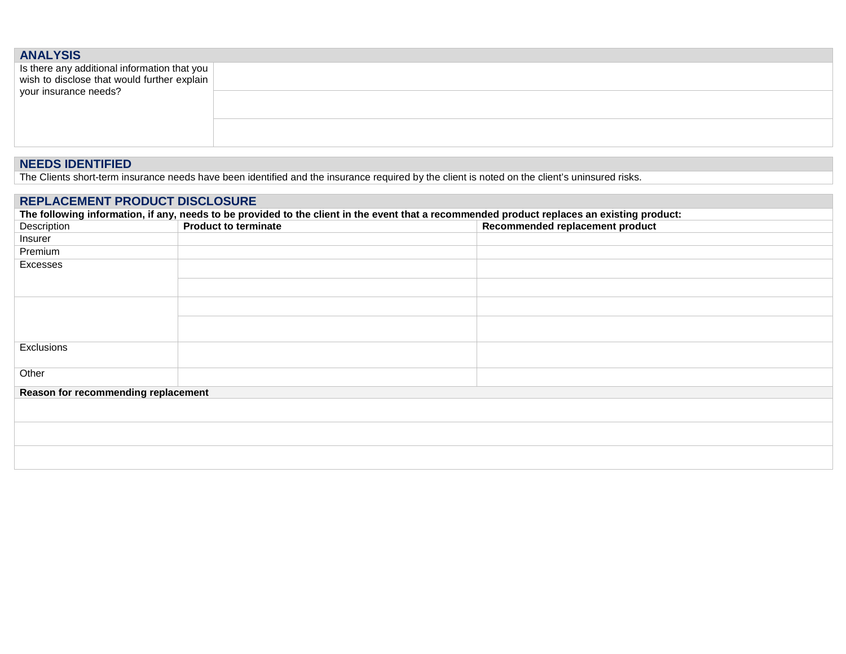| <b>ANALYSIS</b>                                                                             |  |
|---------------------------------------------------------------------------------------------|--|
|                                                                                             |  |
| Is there any additional information that you<br>wish to disclose that would further explain |  |
| your insurance needs?                                                                       |  |
|                                                                                             |  |
|                                                                                             |  |
|                                                                                             |  |
|                                                                                             |  |

### **NEEDS IDENTIFIED**

The Clients short-term insurance needs have been identified and the insurance required by the client is noted on the client's uninsured risks.

## **REPLACEMENT PRODUCT DISCLOSURE**

| The following information, if any, needs to be provided to the client in the event that a recommended product replaces an existing product: |                             |                                 |  |
|---------------------------------------------------------------------------------------------------------------------------------------------|-----------------------------|---------------------------------|--|
| Description                                                                                                                                 | <b>Product to terminate</b> | Recommended replacement product |  |
| Insurer                                                                                                                                     |                             |                                 |  |
| Premium                                                                                                                                     |                             |                                 |  |
| Excesses                                                                                                                                    |                             |                                 |  |
|                                                                                                                                             |                             |                                 |  |
|                                                                                                                                             |                             |                                 |  |
|                                                                                                                                             |                             |                                 |  |
|                                                                                                                                             |                             |                                 |  |
|                                                                                                                                             |                             |                                 |  |
|                                                                                                                                             |                             |                                 |  |
| Exclusions                                                                                                                                  |                             |                                 |  |
|                                                                                                                                             |                             |                                 |  |
| Other                                                                                                                                       |                             |                                 |  |
| Reason for recommending replacement                                                                                                         |                             |                                 |  |
|                                                                                                                                             |                             |                                 |  |
|                                                                                                                                             |                             |                                 |  |
|                                                                                                                                             |                             |                                 |  |
|                                                                                                                                             |                             |                                 |  |
|                                                                                                                                             |                             |                                 |  |
|                                                                                                                                             |                             |                                 |  |